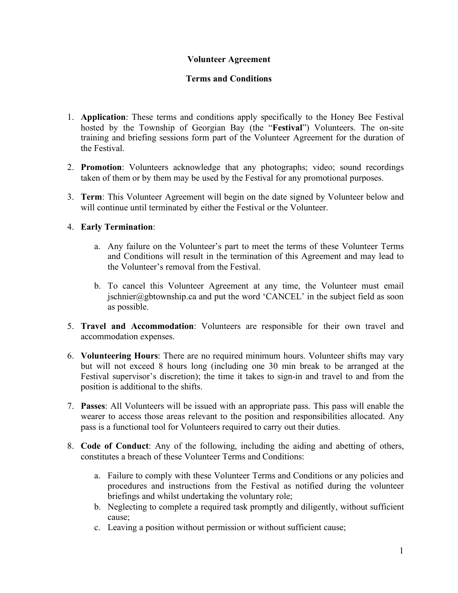# **Volunteer Agreement**

## **Terms and Conditions**

- 1. **Application**: These terms and conditions apply specifically to the Honey Bee Festival hosted by the Township of Georgian Bay (the "**Festival**") Volunteers. The on-site training and briefing sessions form part of the Volunteer Agreement for the duration of the Festival.
- 2. **Promotion**: Volunteers acknowledge that any photographs; video; sound recordings taken of them or by them may be used by the Festival for any promotional purposes.
- 3. **Term**: This Volunteer Agreement will begin on the date signed by Volunteer below and will continue until terminated by either the Festival or the Volunteer.

## 4. **Early Termination**:

- a. Any failure on the Volunteer's part to meet the terms of these Volunteer Terms and Conditions will result in the termination of this Agreement and may lead to the Volunteer's removal from the Festival.
- b. To cancel this Volunteer Agreement at any time, the Volunteer must email jschnier@gbtownship.ca and put the word 'CANCEL' in the subject field as soon as possible.
- 5. **Travel and Accommodation**: Volunteers are responsible for their own travel and accommodation expenses.
- 6. **Volunteering Hours**: There are no required minimum hours. Volunteer shifts may vary but will not exceed 8 hours long (including one 30 min break to be arranged at the Festival supervisor's discretion); the time it takes to sign-in and travel to and from the position is additional to the shifts.
- 7. **Passes**: All Volunteers will be issued with an appropriate pass. This pass will enable the wearer to access those areas relevant to the position and responsibilities allocated. Any pass is a functional tool for Volunteers required to carry out their duties.
- 8. **Code of Conduct**: Any of the following, including the aiding and abetting of others, constitutes a breach of these Volunteer Terms and Conditions:
	- a. Failure to comply with these Volunteer Terms and Conditions or any policies and procedures and instructions from the Festival as notified during the volunteer briefings and whilst undertaking the voluntary role;
	- b. Neglecting to complete a required task promptly and diligently, without sufficient cause;
	- c. Leaving a position without permission or without sufficient cause;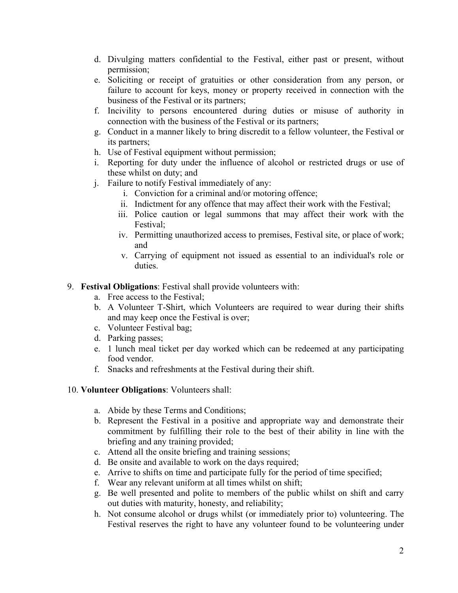- d. Divulging matters confidential to the Festival, either past or present, without permission;
- e. Soliciting or receipt of gratuities or other consideration from any person, or failure to account for keys, money or property received in connection with the business of the Festival or its partners;
- f. Incivility to persons encountered during duties or misuse of authority in connection with the business of the Festival or its partners;
- g. Conduct in a manner likely to bring discredit to a fellow volunteer, the Festival or its partners;
- h. Use of Festival equipment without permission;
- i. Reporting for duty under the influence of alcohol or restricted drugs or use of these whilst on duty; and
- j. Failure to notify Festival immediately of any:
	- i. Conviction for a criminal and/or motoring offence;
	- ii. Indictment for any offence that may affect their work with the Festival;
	- iii. Police caution or legal summons that may affect their work with the Festival;
	- iv. Permitting unauthorized access to premises, Festival site, or place of work; and
	- v. Carrying of equipment not issued as essential to an individual's role or duties.

## 9. **Festival Obligations**: Festival shall provide volunteers with:

- a. Free access to the Festival;
- b. A Volunteer T-Shirt, which Volunteers are required to wear during their shifts and may keep once the Festival is over;
- c. Volunteer Festival bag;
- d. Parking passes;
- e. 1 lunch meal ticket per day worked which can be redeemed at any participating food vendor.
- f. Snacks and refreshments at the Festival during their shift.

#### 10. **Volunteer Obligations**: Volunteers shall:

- a. Abide by these Terms and Conditions;
- b. Represent the Festival in a positive and appropriate way and demonstrate their commitment by fulfilling their role to the best of their ability in line with the briefing and any training provided;
- c. Attend all the onsite briefing and training sessions;
- d. Be onsite and available to work on the days required;
- e. Arrive to shifts on time and participate fully for the period of time specified;
- f. Wear any relevant uniform at all times whilst on shift;
- g. Be well presented and polite to members of the public whilst on shift and carry out duties with maturity, honesty, and reliability;
- h. Not consume alcohol or drugs whilst (or immediately prior to) volunteering. The Festival reserves the right to have any volunteer found to be volunteering under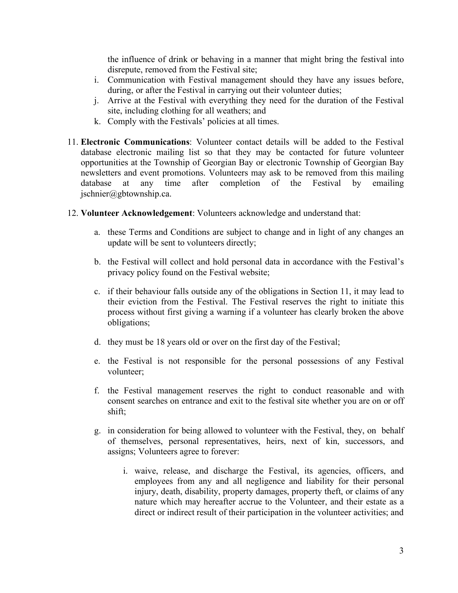the influence of drink or behaving in a manner that might bring the festival into disrepute, removed from the Festival site;

- i. Communication with Festival management should they have any issues before, during, or after the Festival in carrying out their volunteer duties;
- j. Arrive at the Festival with everything they need for the duration of the Festival site, including clothing for all weathers; and
- k. Comply with the Festivals' policies at all times.
- 11. **Electronic Communications**: Volunteer contact details will be added to the Festival database electronic mailing list so that they may be contacted for future volunteer opportunities at the Township of Georgian Bay or electronic Township of Georgian Bay newsletters and event promotions. Volunteers may ask to be removed from this mailing database at any time after completion of the Festival by emailing jschnier@gbtownship.ca.
- 12. **Volunteer Acknowledgement**: Volunteers acknowledge and understand that:
	- a. these Terms and Conditions are subject to change and in light of any changes an update will be sent to volunteers directly;
	- b. the Festival will collect and hold personal data in accordance with the Festival's privacy policy found on the Festival website;
	- c. if their behaviour falls outside any of the obligations in Section 11, it may lead to their eviction from the Festival. The Festival reserves the right to initiate this process without first giving a warning if a volunteer has clearly broken the above obligations;
	- d. they must be 18 years old or over on the first day of the Festival;
	- e. the Festival is not responsible for the personal possessions of any Festival volunteer;
	- f. the Festival management reserves the right to conduct reasonable and with consent searches on entrance and exit to the festival site whether you are on or off shift;
	- g. in consideration for being allowed to volunteer with the Festival, they, on behalf of themselves, personal representatives, heirs, next of kin, successors, and assigns; Volunteers agree to forever:
		- i. waive, release, and discharge the Festival, its agencies, officers, and employees from any and all negligence and liability for their personal injury, death, disability, property damages, property theft, or claims of any nature which may hereafter accrue to the Volunteer, and their estate as a direct or indirect result of their participation in the volunteer activities; and